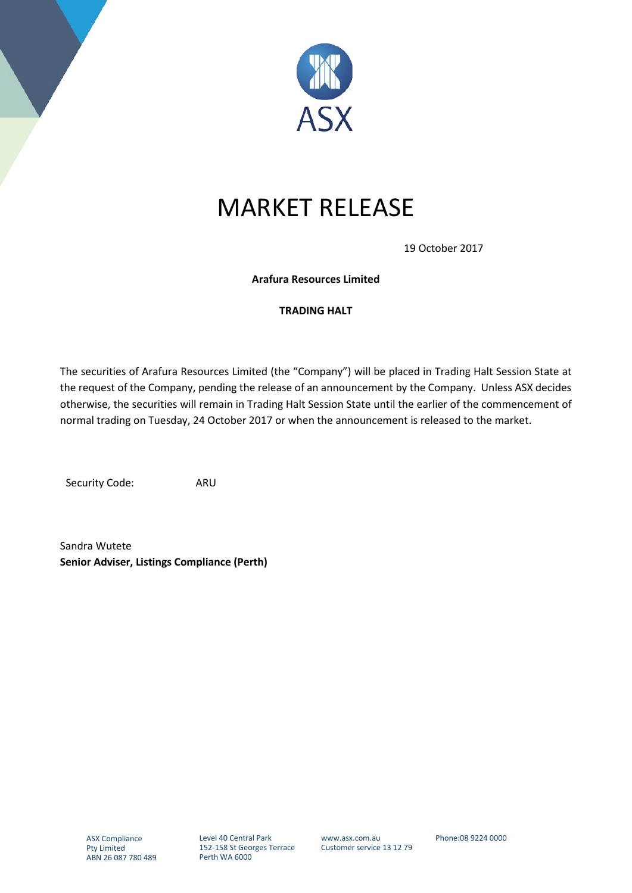

## MARKET RELEASE

19 October 2017

**Arafura Resources Limited**

## **TRADING HALT**

The securities of Arafura Resources Limited (the "Company") will be placed in Trading Halt Session State at the request of the Company, pending the release of an announcement by the Company. Unless ASX decides otherwise, the securities will remain in Trading Halt Session State until the earlier of the commencement of normal trading on Tuesday, 24 October 2017 or when the announcement is released to the market.

Security Code: ARU

Sandra Wutete **Senior Adviser, Listings Compliance (Perth)**

www.asx.com.au Customer service 13 12 79 Phone:08 9224 0000